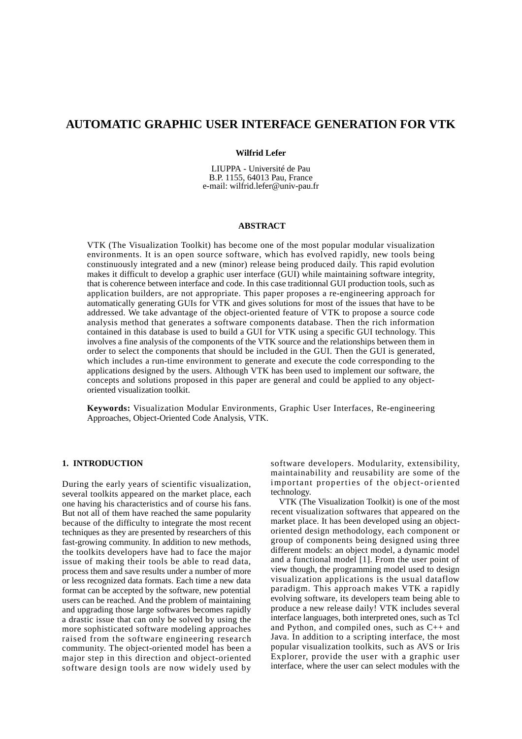# **AUTOMATIC GRAPHIC USER INTERFACE GENERATION FOR VTK**

#### **Wilfrid Lefer**

LIUPPA - Université de Pau B.P. 1155, 64013 Pau, France e-mail: wilfrid.lefer@univ-pau.fr

#### **ABSTRACT**

VTK (The Visualization Toolkit) has become one of the most popular modular visualization environments. It is an open source software, which has evolved rapidly, new tools being constinuously integrated and a new (minor) release being produced daily. This rapid evolution makes it difficult to develop a graphic user interface (GUI) while maintaining software integrity, that is coherence between interface and code. In this case traditionnal GUI production tools, such as application builders, are not appropriate. This paper proposes a re-engineering approach for automatically generating GUIs for VTK and gives solutions for most of the issues that have to be addressed. We take advantage of the object-oriented feature of VTK to propose a source code analysis method that generates a software components database. Then the rich information contained in this database is used to build a GUI for VTK using a specific GUI technology. This involves a fine analysis of the components of the VTK source and the relationships between them in order to select the components that should be included in the GUI. Then the GUI is generated, which includes a run-time environment to generate and execute the code corresponding to the applications designed by the users. Although VTK has been used to implement our software, the concepts and solutions proposed in this paper are general and could be applied to any objectoriented visualization toolkit.

**Keywords:** Visualization Modular Environments, Graphic User Interfaces, Re-engineering Approaches, Object-Oriented Code Analysis, VTK.

#### **1. INTRODUCTION**

During the early years of scientific visualization, several toolkits appeared on the market place, each one having his characteristics and of course his fans. But not all of them have reached the same popularity because of the difficulty to integrate the most recent techniques as they are presented by researchers of this fast-growing community. In addition to new methods, the toolkits developers have had to face the major issue of making their tools be able to read data, process them and save results under a number of more or less recognized data formats. Each time a new data format can be accepted by the software, new potential users can be reached. And the problem of maintaining and upgrading those large softwares becomes rapidly a drastic issue that can only be solved by using the more sophisticated software modeling approaches raised from the software engineering research community. The object-oriented model has been a major step in this direction and object-oriented software design tools are now widely used by software developers. Modularity, extensibility, maintainability and reusability are some of the important properties of the object-oriented technology.

VTK (The Visualization Toolkit) is one of the most recent visualization softwares that appeared on the market place. It has been developed using an objectoriented design methodology, each component or group of components being designed using three different models: an object model, a dynamic model and a functional model [1]. From the user point of view though, the programming model used to design visualization applications is the usual dataflow paradigm. This approach makes VTK a rapidly evolving software, its developers team being able to produce a new release daily! VTK includes several interface languages, both interpreted ones, such as Tcl and Python, and compiled ones, such as C++ and Java. In addition to a scripting interface, the most popular visualization toolkits, such as AVS or Iris Explorer, provide the user with a graphic user interface, where the user can select modules with the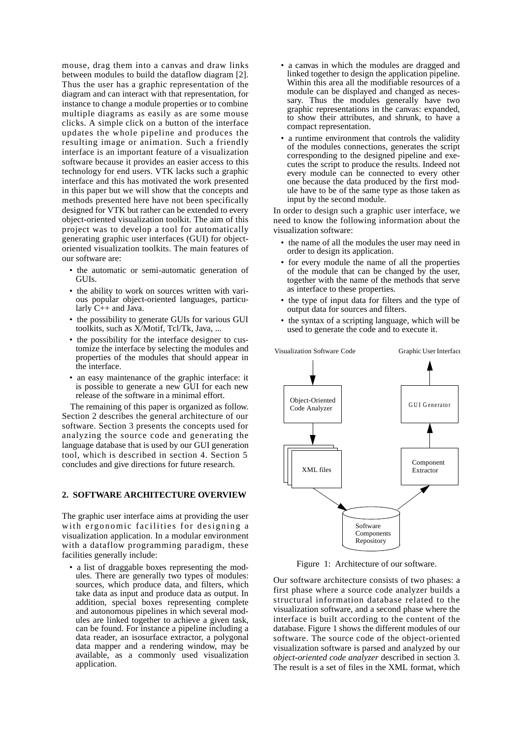mouse, drag them into a canvas and draw links between modules to build the dataflow diagram [2]. Thus the user has a graphic representation of the diagram and can interact with that representation, for instance to change a module properties or to combine multiple diagrams as easily as are some mouse clicks. A simple click on a button of the interface updates the whole pipeline and produces the resulting image or animation. Such a friendly interface is an important feature of a visualization software because it provides an easier access to this technology for end users. VTK lacks such a graphic interface and this has motivated the work presented in this paper but we will show that the concepts and methods presented here have not been specifically designed for VTK but rather can be extended to every object-oriented visualization toolkit. The aim of this project was to develop a tool for automatically generating graphic user interfaces (GUI) for objectoriented visualization toolkits. The main features of our software are:

- the automatic or semi-automatic generation of GUIs.
- the ability to work on sources written with various popular object-oriented languages, particularly  $C_{++}$  and Java.
- the possibility to generate GUIs for various GUI toolkits, such as X/Motif, Tcl/Tk, Java, ...
- the possibility for the interface designer to customize the interface by selecting the modules and properties of the modules that should appear in the interface.
- an easy maintenance of the graphic interface: it is possible to generate a new GUI for each new release of the software in a minimal effort.

The remaining of this paper is organized as follow. Section 2 describes the general architecture of our software. Section 3 presents the concepts used for analyzing the source code and generating the language database that is used by our GUI generation tool, which is described in section 4. Section 5 concludes and give directions for future research.

## **2. SOFTWARE ARCHITECTURE OVERVIEW**

The graphic user interface aims at providing the user with ergonomic facilities for designing a visualization application. In a modular environment with a dataflow programming paradigm, these facilities generally include:

• a list of draggable boxes representing the modules. There are generally two types of modules: sources, which produce data, and filters, which take data as input and produce data as output. In addition, special boxes representing complete and autonomous pipelines in which several modules are linked together to achieve a given task, can be found. For instance a pipeline including a data reader, an isosurface extractor, a polygonal data mapper and a rendering window, may be available, as a commonly used visualization application.

- a canvas in which the modules are dragged and linked together to design the application pipeline. Within this area all the modifiable resources of a module can be displayed and changed as necessary. Thus the modules generally have two graphic representations in the canvas: expanded, to show their attributes, and shrunk, to have a compact representation.
- a runtime environment that controls the validity of the modules connections, generates the script corresponding to the designed pipeline and executes the script to produce the results. Indeed not every module can be connected to every other one because the data produced by the first module have to be of the same type as those taken as input by the second module.

In order to design such a graphic user interface, we need to know the following information about the visualization software:

- the name of all the modules the user may need in order to design its application.
- for every module the name of all the properties of the module that can be changed by the user, together with the name of the methods that serve as interface to these properties.
- the type of input data for filters and the type of output data for sources and filters.
- the syntax of a scripting language, which will be used to generate the code and to execute it.



Figure 1: Architecture of our software.

Our software architecture consists of two phases: a first phase where a source code analyzer builds a structural information database related to the visualization software, and a second phase where the interface is built according to the content of the database. Figure 1 shows the different modules of our software. The source code of the object-oriented visualization software is parsed and analyzed by our *object-oriented code analyzer* described in section 3. The result is a set of files in the XML format, which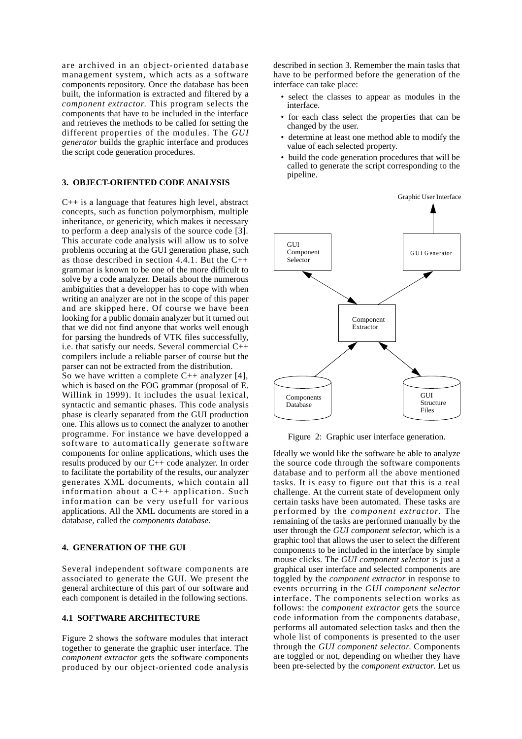are archived in an object-oriented database management system, which acts as a software components repository. Once the database has been built, the information is extracted and filtered by a *component extractor*. This program selects the components that have to be included in the interface and retrieves the methods to be called for setting the different properties of the modules. The *GUI generator* builds the graphic interface and produces the script code generation procedures.

# **3. OBJECT-ORIENTED CODE ANALYSIS**

 $C_{++}$  is a language that features high level, abstract concepts, such as function polymorphism, multiple inheritance, or genericity, which makes it necessary to perform a deep analysis of the source code [3]. This accurate code analysis will allow us to solve problems occuring at the GUI generation phase, such as those described in section 4.4.1. But the  $C++$ grammar is known to be one of the more difficult to solve by a code analyzer. Details about the numerous ambiguities that a developper has to cope with when writing an analyzer are not in the scope of this paper and are skipped here. Of course we have been looking for a public domain analyzer but it turned out that we did not find anyone that works well enough for parsing the hundreds of VTK files successfully, i.e. that satisfy our needs. Several commercial C++ compilers include a reliable parser of course but the parser can not be extracted from the distribution.

So we have written a complete C++ analyzer [4], which is based on the FOG grammar (proposal of E. Willink in 1999). It includes the usual lexical, syntactic and semantic phases. This code analysis phase is clearly separated from the GUI production one. This allows us to connect the analyzer to another programme. For instance we have developped a software to automatically generate software components for online applications, which uses the results produced by our C++ code analyzer. In order to facilitate the portability of the results, our analyzer generates XML documents, which contain all information about a C++ application. Such information can be very usefull for various applications. All the XML documents are stored in a database, called the *components database*.

## **4. GENERATION OF THE GUI**

Several independent software components are associated to generate the GUI. We present the general architecture of this part of our software and each component is detailed in the following sections.

# **4.1 SOFTWARE ARCHITECTURE**

Figure 2 shows the software modules that interact together to generate the graphic user interface. The *component extractor* gets the software components produced by our object-oriented code analysis described in section 3. Remember the main tasks that have to be performed before the generation of the interface can take place:

- select the classes to appear as modules in the interface.
- for each class select the properties that can be changed by the user.
- determine at least one method able to modify the value of each selected property.
- build the code generation procedures that will be called to generate the script corresponding to the pipeline.



Figure 2: Graphic user interface generation.

Ideally we would like the software be able to analyze the source code through the software components database and to perform all the above mentioned tasks. It is easy to figure out that this is a real challenge. At the current state of development only certain tasks have been automated. These tasks are performed by the *component extractor*. The remaining of the tasks are performed manually by the user through the *GUI component selector*, which is a graphic tool that allows the user to select the different components to be included in the interface by simple mouse clicks. The *GUI component selector* is just a graphical user interface and selected components are toggled by the *component extractor* in response to events occurring in the *GUI component selector* interface. The components selection works as follows: the *component extractor* gets the source code information from the components database, performs all automated selection tasks and then the whole list of components is presented to the user through the *GUI component selector*. Components are toggled or not, depending on whether they have been pre-selected by the *component extractor*. Let us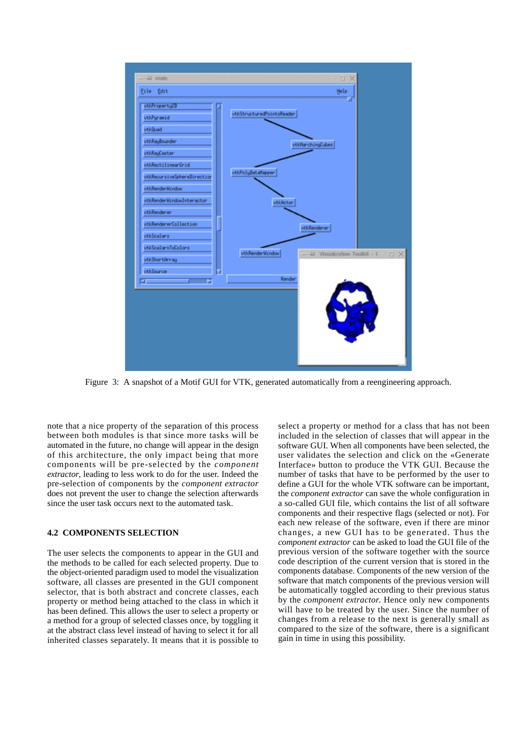

Figure 3: A snapshot of a Motif GUI for VTK, generated automatically from a reengineering approach.

note that a nice property of the separation of this process between both modules is that since more tasks will be automated in the future, no change will appear in the design of this architecture, the only impact being that more components will be pre-selected by the *component extractor*, leading to less work to do for the user. Indeed the pre-selection of components by the *component extractor* does not prevent the user to change the selection afterwards since the user task occurs next to the automated task.

## **4.2 COMPONENTS SELECTION**

The user selects the components to appear in the GUI and the methods to be called for each selected property. Due to the object-oriented paradigm used to model the visualization software, all classes are presented in the GUI component selector, that is both abstract and concrete classes, each property or method being attached to the class in which it has been defined. This allows the user to select a property or a method for a group of selected classes once, by toggling it at the abstract class level instead of having to select it for all inherited classes separately. It means that it is possible to select a property or method for a class that has not been included in the selection of classes that will appear in the software GUI. When all components have been selected, the user validates the selection and click on the «Generate Interface» button to produce the VTK GUI. Because the number of tasks that have to be performed by the user to define a GUI for the whole VTK software can be important, the *component extractor* can save the whole configuration in a so-called GUI file, which contains the list of all software components and their respective flags (selected or not). For each new release of the software, even if there are minor changes, a new GUI has to be generated. Thus the *component extractor* can be asked to load the GUI file of the previous version of the software together with the source code description of the current version that is stored in the components database. Components of the new version of the software that match components of the previous version will be automatically toggled according to their previous status by the *component extractor*. Hence only new components will have to be treated by the user. Since the number of changes from a release to the next is generally small as compared to the size of the software, there is a significant gain in time in using this possibility.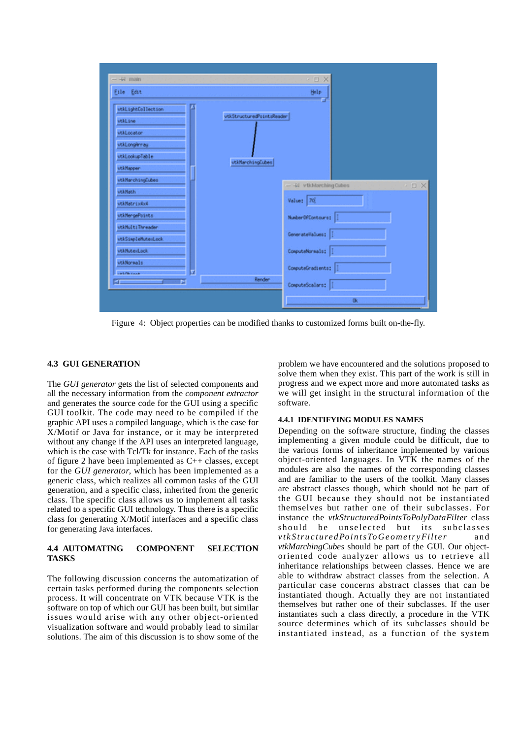

Figure 4: Object properties can be modified thanks to customized forms built on-the-fly.

#### **4.3 GUI GENERATION**

The *GUI generator* gets the list of selected components and all the necessary information from the *component extractor* and generates the source code for the GUI using a specific GUI toolkit. The code may need to be compiled if the graphic API uses a compiled language, which is the case for X/Motif or Java for instance, or it may be interpreted without any change if the API uses an interpreted language, which is the case with Tcl/Tk for instance. Each of the tasks of figure 2 have been implemented as C++ classes, except for the *GUI generator*, which has been implemented as a generic class, which realizes all common tasks of the GUI generation, and a specific class, inherited from the generic class. The specific class allows us to implement all tasks related to a specific GUI technology. Thus there is a specific class for generating X/Motif interfaces and a specific class for generating Java interfaces.

#### **4.4 AUTOMATING COMPONENT SELECTION TASKS**

The following discussion concerns the automatization of certain tasks performed during the components selection process. It will concentrate on VTK because VTK is the software on top of which our GUI has been built, but similar issues would arise with any other object-oriented visualization software and would probably lead to similar solutions. The aim of this discussion is to show some of the problem we have encountered and the solutions proposed to solve them when they exist. This part of the work is still in progress and we expect more and more automated tasks as we will get insight in the structural information of the software.

# **4.4.1 IDENTIFYING MODULES NAMES**

Depending on the software structure, finding the classes implementing a given module could be difficult, due to the various forms of inheritance implemented by various object-oriented languages. In VTK the names of the modules are also the names of the corresponding classes and are familiar to the users of the toolkit. Many classes are abstract classes though, which should not be part of the GUI because they should not be instantiated themselves but rather one of their subclasses. For instance the *vtkStructuredPointsToPolyDataFilter* class should be unselected but its subclasses *vtkStructuredPointsToGeometryFilter* and *vtkMarchingCubes* should be part of the GUI. Our objectoriented code analyzer allows us to retrieve all inheritance relationships between classes. Hence we are able to withdraw abstract classes from the selection. A particular case concerns abstract classes that can be instantiated though. Actually they are not instantiated themselves but rather one of their subclasses. If the user instantiates such a class directly, a procedure in the VTK source determines which of its subclasses should be instantiated instead, as a function of the system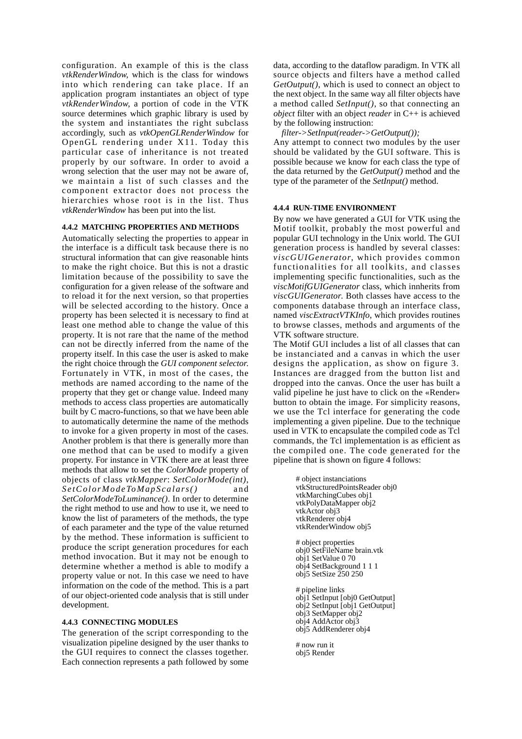configuration. An example of this is the class *vtkRenderWindow*, which is the class for windows into which rendering can take place. If an application program instantiates an object of type *vtkRenderWindow*, a portion of code in the VTK source determines which graphic library is used by the system and instantiates the right subclass accordingly, such as *vtkOpenGLRenderWindow* for OpenGL rendering under X11. Today this particular case of inheritance is not treated properly by our software. In order to avoid a wrong selection that the user may not be aware of, we maintain a list of such classes and the component extractor does not process the hierarchies whose root is in the list. Thus *vtkRenderWindow* has been put into the list.

## **4.4.2 MATCHING PROPERTIES AND METHODS**

Automatically selecting the properties to appear in the interface is a difficult task because there is no structural information that can give reasonable hints to make the right choice. But this is not a drastic limitation because of the possibility to save the configuration for a given release of the software and to reload it for the next version, so that properties will be selected according to the history. Once a property has been selected it is necessary to find at least one method able to change the value of this property. It is not rare that the name of the method can not be directly inferred from the name of the property itself. In this case the user is asked to make the right choice through the *GUI component selector*. Fortunately in VTK, in most of the cases, the methods are named according to the name of the property that they get or change value. Indeed many methods to access class properties are automatically built by C macro-functions, so that we have been able to automatically determine the name of the methods to invoke for a given property in most of the cases. Another problem is that there is generally more than one method that can be used to modify a given property. For instance in VTK there are at least three methods that allow to set the *ColorMode* property of objects of class *vtkMapper*: *SetColorMode(int)*, *SetColorModeToMapScalars()* and *SetColorModeToLuminance()*. In order to determine the right method to use and how to use it, we need to know the list of parameters of the methods, the type of each parameter and the type of the value returned by the method. These information is sufficient to produce the script generation procedures for each method invocation. But it may not be enough to determine whether a method is able to modify a property value or not. In this case we need to have information on the code of the method. This is a part of our object-oriented code analysis that is still under development.

## **4.4.3 CONNECTING MODULES**

The generation of the script corresponding to the visualization pipeline designed by the user thanks to the GUI requires to connect the classes together. Each connection represents a path followed by some data, according to the dataflow paradigm. In VTK all source objects and filters have a method called *GetOutput()*, which is used to connect an object to the next object. In the same way all filter objects have a method called *SetInput()*, so that connecting an *object* filter with an object *reader* in C++ is achieved by the following instruction:

*filter->SetInput(reader->GetOutput());*

Any attempt to connect two modules by the user should be validated by the GUI software. This is possible because we know for each class the type of the data returned by the *GetOutput()* method and the type of the parameter of the *SetInput()* method.

# **4.4.4 RUN-TIME ENVIRONMENT**

By now we have generated a GUI for VTK using the Motif toolkit, probably the most powerful and popular GUI technology in the Unix world. The GUI generation process is handled by several classes: *viscGUIGenerator*, which provides common functionalities for all toolkits, and classes implementing specific functionalities, such as the *viscMotifGUIGenerator* class, which innherits from *viscGUIGenerator*. Both classes have access to the components database through an interface class, named *viscExtractVTKInfo*, which provides routines to browse classes, methods and arguments of the VTK software structure.

The Motif GUI includes a list of all classes that can be instanciated and a canvas in which the user designs the application, as show on figure 3. Instances are dragged from the button list and dropped into the canvas. Once the user has built a valid pipeline he just have to click on the «Render» button to obtain the image. For simplicity reasons, we use the Tcl interface for generating the code implementing a given pipeline. Due to the technique used in VTK to encapsulate the compiled code as Tcl commands, the Tcl implementation is as efficient as the compiled one. The code generated for the pipeline that is shown on figure 4 follows:

```
# object instanciations
vtkStructuredPointsReader obj0
vtkMarchingCubes obj1
vtkPolyDataMapper obj2
vtkActor obj3
vtkRenderer obj4
vtkRenderWindow obj5
# object properties
obj0 SetFileName brain.vtk
obj1 SetValue 0 70
obj4 SetBackground 1 1 1
obj5 SetSize 250 250
# pipeline links
obj1 SetInput [obj0 GetOutput]
obj2 SetInput [obj1 GetOutput]
obj3 SetMapper obj2
obj4 AddActor obj3
obj5 AddRenderer obj4
# now run it
obj5 Render
```